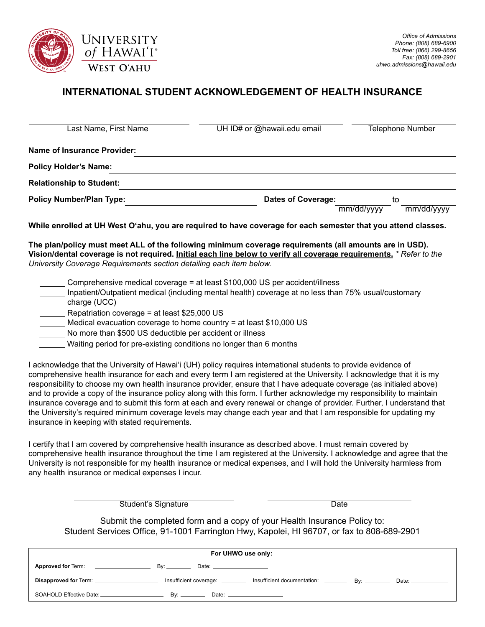

## **INTERNATIONAL STUDENT ACKNOWLEDGEMENT OF HEALTH INSURANCE**

| Last Name, First Name           | UH ID# or @hawaii.edu email                                                                                   | <b>Telephone Number</b>        |
|---------------------------------|---------------------------------------------------------------------------------------------------------------|--------------------------------|
| Name of Insurance Provider:     |                                                                                                               |                                |
| <b>Policy Holder's Name:</b>    |                                                                                                               |                                |
| <b>Relationship to Student:</b> |                                                                                                               |                                |
| <b>Policy Number/Plan Type:</b> | Dates of Coverage:                                                                                            | to<br>mm/dd/yyyy<br>mm/dd/yyyy |
|                                 | While enrolled at UH West O'ahu, you are required to have coverage for each semester that you attend classes. |                                |

**The plan/policy must meet ALL of the following minimum coverage requirements (all amounts are in USD). Vision/dental coverage is not required. Initial each line below to verify all coverage requirements.** *\* Refer to the University Coverage Requirements section detailing each item below.*

- Comprehensive medical coverage = at least \$100,000 US per accident/illness
- Inpatient/Outpatient medical (including mental health) coverage at no less than 75% usual/customary charge (UCC)
- $\leq$  Repatriation coverage = at least \$25,000 US
- Medical evacuation coverage to home country = at least \$10,000 US
- No more than \$500 US deductible per accident or illness
- Waiting period for pre-existing conditions no longer than 6 months

I acknowledge that the University of Hawai'i (UH) policy requires international students to provide evidence of comprehensive health insurance for each and every term I am registered at the University. I acknowledge that it is my responsibility to choose my own health insurance provider, ensure that I have adequate coverage (as initialed above) and to provide a copy of the insurance policy along with this form. I further acknowledge my responsibility to maintain insurance coverage and to submit this form at each and every renewal or change of provider. Further, I understand that the University's required minimum coverage levels may change each year and that I am responsible for updating my insurance in keeping with stated requirements.

I certify that I am covered by comprehensive health insurance as described above. I must remain covered by comprehensive health insurance throughout the time I am registered at the University. I acknowledge and agree that the University is not responsible for my health insurance or medical expenses, and I will hold the University harmless from any health insurance or medical expenses I incur.

Student's Signature Date

Submit the completed form and a copy of your Health Insurance Policy to: Student Services Office, 91-1001 Farrington Hwy, Kapolei, HI 96707, or fax to 808-689-2901

| For UHWO use only:                                     |                                |                                                                                                    |  |  |  |
|--------------------------------------------------------|--------------------------------|----------------------------------------------------------------------------------------------------|--|--|--|
| Approved for Term: ____________________                | Date: $\qquad \qquad$          |                                                                                                    |  |  |  |
| Disapproved for Term: _________________________        |                                | Insufficient coverage: ____________ Insufficient documentation: _________________ By: ____________ |  |  |  |
| SOAHOLD Effective Date: <b>SOAHOLD</b> Effective Date: | Date: <u>Date:</u><br>Bv: ____ |                                                                                                    |  |  |  |